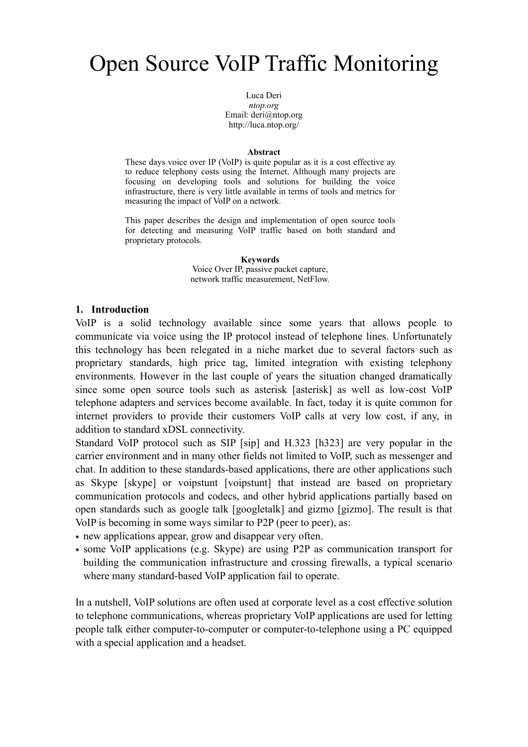# Open Source VoIP Traffic Monitoring

Luca Deri *ntop.org* Email: [deri@ntop.org](mailto:deri@ntop.org) <http://luca.ntop.org>/

#### **Abstract**

These days voice over IP (VoIP) is quite popular as it is a cost effective ay to reduce telephony costs using the Internet. Although many projects are focusing on developing tools and solutions for building the voice infrastructure, there is very little available in terms of tools and metrics for measuring the impact of VoIP on a network.

This paper describes the design and implementation of open source tools for detecting and measuring VoIP traffic based on both standard and proprietary protocols.

> **Keywords** Voice Over IP, passive packet capture, network traffic measurement, NetFlow.

#### **1. Introduction**

VoIP is a solid technology available since some years that allows people to communicate via voice using the IP protocol instead of telephone lines. Unfortunately this technology has been relegated in a niche market due to several factors such as proprietary standards, high price tag, limited integration with existing telephony environments. However in the last couple of years the situation changed dramatically since some open source tools such as asterisk [asterisk] as well as low-cost VoIP telephone adapters and services become available. In fact, today it is quite common for internet providers to provide their customers VoIP calls at very low cost, if any, in addition to standard xDSL connectivity.

Standard VoIP protocol such as SIP [sip] and H.323 [h323] are very popular in the carrier environment and in many other fields not limited to VoIP, such as messenger and chat. In addition to these standards-based applications, there are other applications such as Skype [skype] or voipstunt [voipstunt] that instead are based on proprietary communication protocols and codecs, and other hybrid applications partially based on open standards such as google talk [googletalk] and gizmo [gizmo]. The result is that VoIP is becoming in some ways similar to P2P (peer to peer), as:

- new applications appear, grow and disappear very often.
- some VoIP applications (e.g. Skype) are using P2P as communication transport for building the communication infrastructure and crossing firewalls, a typical scenario where many standard-based VoIP application fail to operate.

In a nutshell, VoIP solutions are often used at corporate level as a cost effective solution to telephone communications, whereas proprietary VoIP applications are used for letting people talk either computer-to-computer or computer-to-telephone using a PC equipped with a special application and a headset.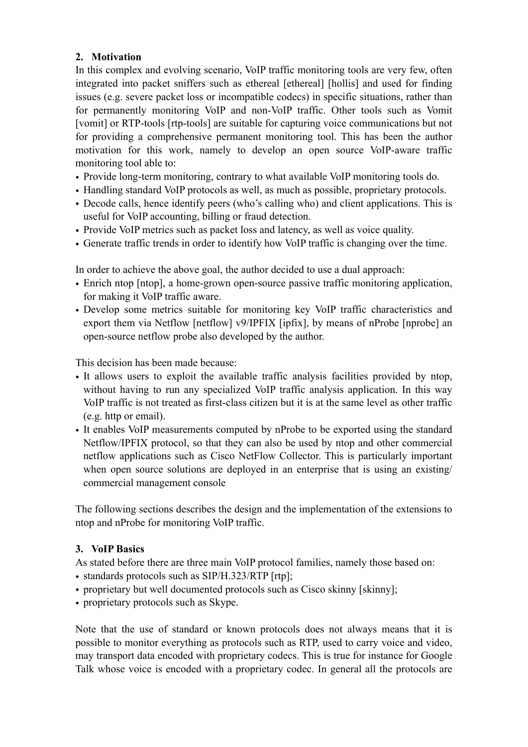## **2. Motivation**

In this complex and evolving scenario, VoIP traffic monitoring tools are very few, often integrated into packet sniffers such as ethereal [ethereal] [hollis] and used for finding issues (e.g. severe packet loss or incompatible codecs) in specific situations, rather than for permanently monitoring VoIP and non-VoIP traffic. Other tools such as Vomit [vomit] or RTP-tools [rtp-tools] are suitable for capturing voice communications but not for providing a comprehensive permanent monitoring tool. This has been the author motivation for this work, namely to develop an open source VoIP-aware traffic monitoring tool able to:

- Provide long-term monitoring, contrary to what available VoIP monitoring tools do.
- Handling standard VoIP protocols as well, as much as possible, proprietary protocols.
- Decode calls, hence identify peers (who's calling who) and client applications. This is useful for VoIP accounting, billing or fraud detection.
- Provide VoIP metrics such as packet loss and latency, as well as voice quality.
- Generate traffic trends in order to identify how VoIP traffic is changing over the time.

In order to achieve the above goal, the author decided to use a dual approach:

- Enrich ntop [ntop], a home-grown open-source passive traffic monitoring application, for making it VoIP traffic aware.
- Develop some metrics suitable for monitoring key VoIP traffic characteristics and export them via Netflow [netflow] v9/IPFIX [ipfix], by means of nProbe [nprobe] an open-source netflow probe also developed by the author.

This decision has been made because:

- It allows users to exploit the available traffic analysis facilities provided by ntop, without having to run any specialized VoIP traffic analysis application. In this way VoIP traffic is not treated as first-class citizen but it is at the same level as other traffic (e.g. http or email).
- It enables VoIP measurements computed by nProbe to be exported using the standard Netflow/IPFIX protocol, so that they can also be used by ntop and other commercial netflow applications such as Cisco NetFlow Collector. This is particularly important when open source solutions are deployed in an enterprise that is using an existing/ commercial management console

The following sections describes the design and the implementation of the extensions to ntop and nProbe for monitoring VoIP traffic.

## **3. VoIP Basics**

As stated before there are three main VoIP protocol families, namely those based on:

- standards protocols such as SIP/H.323/RTP [rtp];
- proprietary but well documented protocols such as Cisco skinny [skinny];
- proprietary protocols such as Skype.

Note that the use of standard or known protocols does not always means that it is possible to monitor everything as protocols such as RTP, used to carry voice and video, may transport data encoded with proprietary codecs. This is true for instance for Google Talk whose voice is encoded with a proprietary codec. In general all the protocols are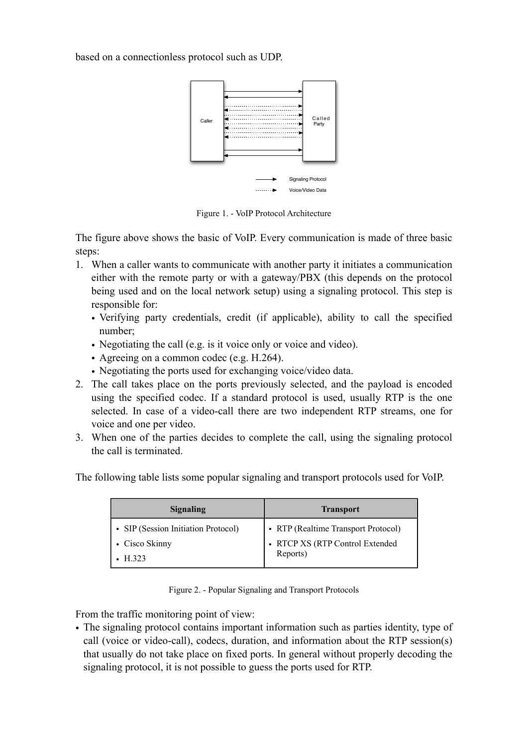based on a connectionless protocol such as UDP.



Figure 1. - VoIP Protocol Architecture

The figure above shows the basic of VoIP. Every communication is made of three basic steps:

- 1. When a caller wants to communicate with another party it initiates a communication either with the remote party or with a gateway/PBX (this depends on the protocol being used and on the local network setup) using a signaling protocol. This step is responsible for:
	- Verifying party credentials, credit (if applicable), ability to call the specified number;
	- Negotiating the call (e.g. is it voice only or voice and video).
	- Agreeing on a common codec (e.g. H.264).
	- Negotiating the ports used for exchanging voice/video data.
- 2. The call takes place on the ports previously selected, and the payload is encoded using the specified codec. If a standard protocol is used, usually RTP is the one selected. In case of a video-call there are two independent RTP streams, one for voice and one per video.
- 3. When one of the parties decides to complete the call, using the signaling protocol the call is terminated.

The following table lists some popular signaling and transport protocols used for VoIP.

| <b>Signaling</b>                    | <b>Transport</b>                    |
|-------------------------------------|-------------------------------------|
| • SIP (Session Initiation Protocol) | • RTP (Realtime Transport Protocol) |
| • Cisco Skinny                      | • RTCP XS (RTP Control Extended     |
| H 323                               | Reports)                            |

Figure 2. - Popular Signaling and Transport Protocols

From the traffic monitoring point of view:

• The signaling protocol contains important information such as parties identity, type of call (voice or video-call), codecs, duration, and information about the RTP session(s) that usually do not take place on fixed ports. In general without properly decoding the signaling protocol, it is not possible to guess the ports used for RTP.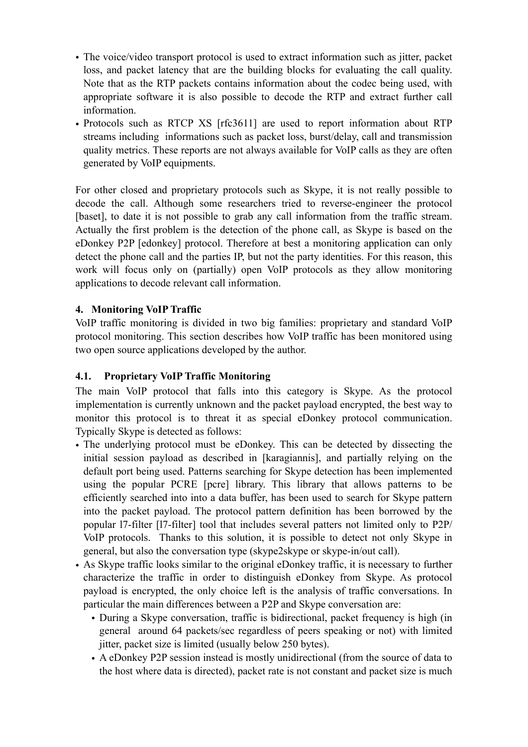- The voice/video transport protocol is used to extract information such as jitter, packet loss, and packet latency that are the building blocks for evaluating the call quality. Note that as the RTP packets contains information about the codec being used, with appropriate software it is also possible to decode the RTP and extract further call information.
- Protocols such as RTCP XS [rfc3611] are used to report information about RTP streams including informations such as packet loss, burst/delay, call and transmission quality metrics. These reports are not always available for VoIP calls as they are often generated by VoIP equipments.

For other closed and proprietary protocols such as Skype, it is not really possible to decode the call. Although some researchers tried to reverse-engineer the protocol [baset], to date it is not possible to grab any call information from the traffic stream. Actually the first problem is the detection of the phone call, as Skype is based on the eDonkey P2P [edonkey] protocol. Therefore at best a monitoring application can only detect the phone call and the parties IP, but not the party identities. For this reason, this work will focus only on (partially) open VoIP protocols as they allow monitoring applications to decode relevant call information.

## **4. Monitoring VoIP Traffic**

VoIP traffic monitoring is divided in two big families: proprietary and standard VoIP protocol monitoring. This section describes how VoIP traffic has been monitored using two open source applications developed by the author.

## **4.1. Proprietary VoIP Traffic Monitoring**

The main VoIP protocol that falls into this category is Skype. As the protocol implementation is currently unknown and the packet payload encrypted, the best way to monitor this protocol is to threat it as special eDonkey protocol communication. Typically Skype is detected as follows:

- The underlying protocol must be eDonkey. This can be detected by dissecting the initial session payload as described in [karagiannis], and partially relying on the default port being used. Patterns searching for Skype detection has been implemented using the popular PCRE [pcre] library. This library that allows patterns to be efficiently searched into into a data buffer, has been used to search for Skype pattern into the packet payload. The protocol pattern definition has been borrowed by the popular l7-filter [l7-filter] tool that includes several patters not limited only to P2P/ VoIP protocols. Thanks to this solution, it is possible to detect not only Skype in general, but also the conversation type (skype2skype or skype-in/out call).
- As Skype traffic looks similar to the original eDonkey traffic, it is necessary to further characterize the traffic in order to distinguish eDonkey from Skype. As protocol payload is encrypted, the only choice left is the analysis of traffic conversations. In particular the main differences between a P2P and Skype conversation are:
	- During a Skype conversation, traffic is bidirectional, packet frequency is high (in general around 64 packets/sec regardless of peers speaking or not) with limited jitter, packet size is limited (usually below 250 bytes).
	- A eDonkey P2P session instead is mostly unidirectional (from the source of data to the host where data is directed), packet rate is not constant and packet size is much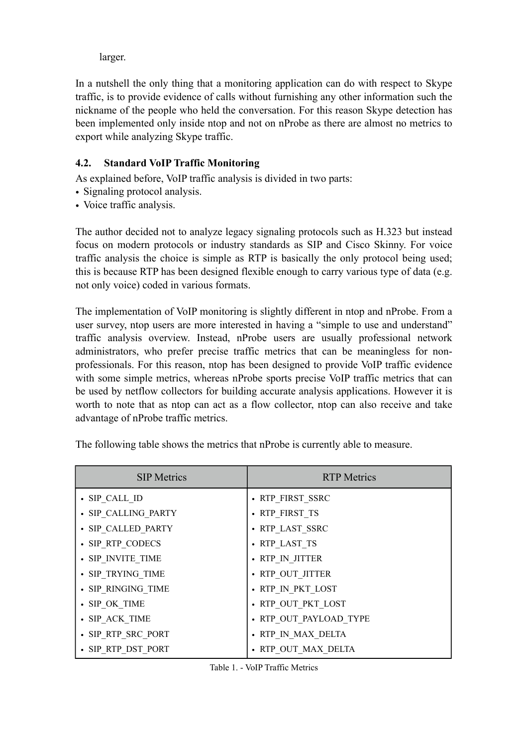larger.

In a nutshell the only thing that a monitoring application can do with respect to Skype traffic, is to provide evidence of calls without furnishing any other information such the nickname of the people who held the conversation. For this reason Skype detection has been implemented only inside ntop and not on nProbe as there are almost no metrics to export while analyzing Skype traffic.

## **4.2. Standard VoIP Traffic Monitoring**

As explained before, VoIP traffic analysis is divided in two parts:

- Signaling protocol analysis.
- Voice traffic analysis.

The author decided not to analyze legacy signaling protocols such as H.323 but instead focus on modern protocols or industry standards as SIP and Cisco Skinny. For voice traffic analysis the choice is simple as RTP is basically the only protocol being used; this is because RTP has been designed flexible enough to carry various type of data (e.g. not only voice) coded in various formats.

The implementation of VoIP monitoring is slightly different in ntop and nProbe. From a user survey, ntop users are more interested in having a "simple to use and understand" traffic analysis overview. Instead, nProbe users are usually professional network administrators, who prefer precise traffic metrics that can be meaningless for nonprofessionals. For this reason, ntop has been designed to provide VoIP traffic evidence with some simple metrics, whereas nProbe sports precise VoIP traffic metrics that can be used by netflow collectors for building accurate analysis applications. However it is worth to note that as ntop can act as a flow collector, ntop can also receive and take advantage of nProbe traffic metrics.

| <b>SIP Metrics</b>  | <b>RTP</b> Metrics     |
|---------------------|------------------------|
| · SIP CALL ID       | • RTP FIRST SSRC       |
| · SIP CALLING PARTY | • RTP FIRST TS         |
| • SIP CALLED PARTY  | • RTP LAST SSRC        |
| • SIP RTP CODECS    | • RTP LAST TS          |
| • SIP INVITE TIME   | • RTP IN JITTER        |
| • SIP TRYING TIME   | • RTP OUT JITTER       |
| • SIP RINGING TIME  | • RTP IN PKT LOST      |
| · SIP OK TIME       | • RTP OUT PKT LOST     |
| • SIP ACK TIME      | • RTP OUT PAYLOAD TYPE |
| • SIP RTP SRC PORT  | • RTP IN MAX DELTA     |
| • SIP RTP DST PORT  | RTP OUT MAX DELTA      |

The following table shows the metrics that nProbe is currently able to measure.

Table 1. - VoIP Traffic Metrics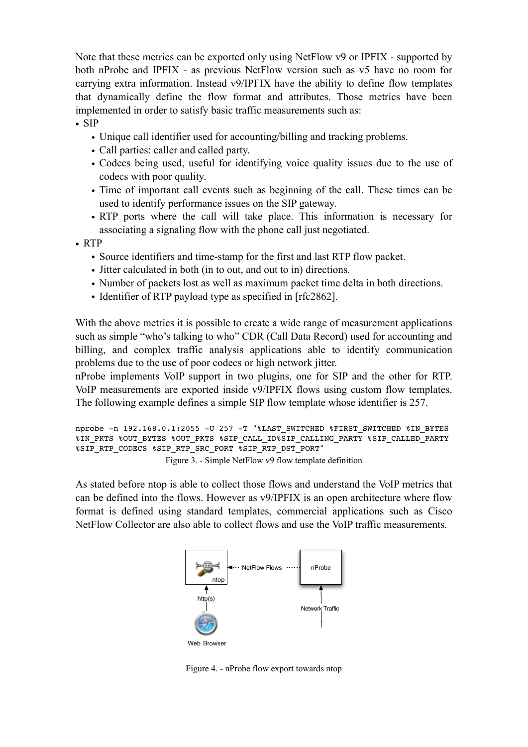Note that these metrics can be exported only using NetFlow v9 or IPFIX - supported by both nProbe and IPFIX - as previous NetFlow version such as v5 have no room for carrying extra information. Instead v9/IPFIX have the ability to define flow templates that dynamically define the flow format and attributes. Those metrics have been implemented in order to satisfy basic traffic measurements such as:

• SIP

- Unique call identifier used for accounting/billing and tracking problems.
- Call parties: caller and called party.
- Codecs being used, useful for identifying voice quality issues due to the use of codecs with poor quality.
- Time of important call events such as beginning of the call. These times can be used to identify performance issues on the SIP gateway.
- RTP ports where the call will take place. This information is necessary for associating a signaling flow with the phone call just negotiated.

• RTP

- Source identifiers and time-stamp for the first and last RTP flow packet.
- Jitter calculated in both (in to out, and out to in) directions.
- Number of packets lost as well as maximum packet time delta in both directions.
- Identifier of RTP payload type as specified in [rfc2862].

With the above metrics it is possible to create a wide range of measurement applications such as simple "who's talking to who" CDR (Call Data Record) used for accounting and billing, and complex traffic analysis applications able to identify communication problems due to the use of poor codecs or high network jitter.

nProbe implements VoIP support in two plugins, one for SIP and the other for RTP. VoIP measurements are exported inside v9/IPFIX flows using custom flow templates. The following example defines a simple SIP flow template whose identifier is 257.

```
nprobe -n 192.168.0.1:2055 -U 257 -T "%LAST_SWITCHED %FIRST_SWITCHED %IN_BYTES
%IN_PKTS %OUT_BYTES %OUT_PKTS %SIP_CALL_ID%SIP_CALLING_PARTY %SIP_CALLED_PARTY
%SIP_RTP_CODECS %SIP_RTP_SRC_PORT %SIP_RTP_DST_PORT"
                   Figure 3. - Simple NetFlow v9 flow template definition
```
As stated before ntop is able to collect those flows and understand the VoIP metrics that can be defined into the flows. However as v9/IPFIX is an open architecture where flow format is defined using standard templates, commercial applications such as Cisco NetFlow Collector are also able to collect flows and use the VoIP traffic measurements.



Figure 4. - nProbe flow export towards ntop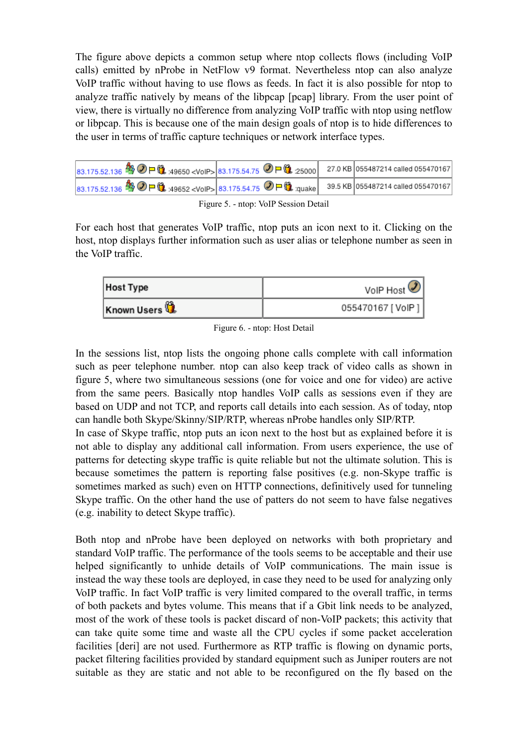The figure above depicts a common setup where ntop collects flows (including VoIP calls) emitted by nProbe in NetFlow v9 format. Nevertheless ntop can also analyze VoIP traffic without having to use flows as feeds. In fact it is also possible for ntop to analyze traffic natively by means of the libpcap [pcap] library. From the user point of view, there is virtually no difference from analyzing VoIP traffic with ntop using netflow or libpcap. This is because one of the main design goals of ntop is to hide differences to the user in terms of traffic capture techniques or network interface types.

| 83.175.52.136 <sup>4</sup> ① P <b>①</b> :49650 <voip>83.175.54.75 ② P <b>①</b> :25000 27.0 KB 055487214 called 055470167</voip>      |  |  |
|--------------------------------------------------------------------------------------------------------------------------------------|--|--|
| 83.175.52.136 <sup>4</sup> ① P <b>1</b> :49652 <voip> 83.175.54.75 ② P t <sub>:quake</sub> 39.5 KB 055487214 called 055470167</voip> |  |  |

| Figure 5. - ntop: VoIP Session Detail |  |  |
|---------------------------------------|--|--|

For each host that generates VoIP traffic, ntop puts an icon next to it. Clicking on the host, ntop displays further information such as user alias or telephone number as seen in the VoIP traffic.

| <b>Host Type</b> | VoIP Host $\mathcal{D}$ |
|------------------|-------------------------|
| Known Users      | 055470167 [VoIP]        |

Figure 6. - ntop: Host Detail

In the sessions list, ntop lists the ongoing phone calls complete with call information such as peer telephone number. ntop can also keep track of video calls as shown in figure 5, where two simultaneous sessions (one for voice and one for video) are active from the same peers. Basically ntop handles VoIP calls as sessions even if they are based on UDP and not TCP, and reports call details into each session. As of today, ntop can handle both Skype/Skinny/SIP/RTP, whereas nProbe handles only SIP/RTP.

In case of Skype traffic, ntop puts an icon next to the host but as explained before it is not able to display any additional call information. From users experience, the use of patterns for detecting skype traffic is quite reliable but not the ultimate solution. This is because sometimes the pattern is reporting false positives (e.g. non-Skype traffic is sometimes marked as such) even on HTTP connections, definitively used for tunneling Skype traffic. On the other hand the use of patters do not seem to have false negatives (e.g. inability to detect Skype traffic).

Both ntop and nProbe have been deployed on networks with both proprietary and standard VoIP traffic. The performance of the tools seems to be acceptable and their use helped significantly to unhide details of VoIP communications. The main issue is instead the way these tools are deployed, in case they need to be used for analyzing only VoIP traffic. In fact VoIP traffic is very limited compared to the overall traffic, in terms of both packets and bytes volume. This means that if a Gbit link needs to be analyzed, most of the work of these tools is packet discard of non-VoIP packets; this activity that can take quite some time and waste all the CPU cycles if some packet acceleration facilities [deri] are not used. Furthermore as RTP traffic is flowing on dynamic ports, packet filtering facilities provided by standard equipment such as Juniper routers are not suitable as they are static and not able to be reconfigured on the fly based on the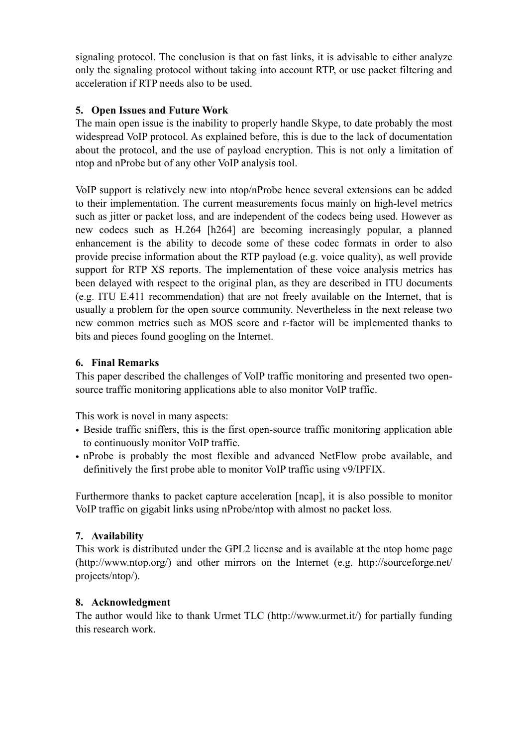signaling protocol. The conclusion is that on fast links, it is advisable to either analyze only the signaling protocol without taking into account RTP, or use packet filtering and acceleration if RTP needs also to be used.

## **5. Open Issues and Future Work**

The main open issue is the inability to properly handle Skype, to date probably the most widespread VoIP protocol. As explained before, this is due to the lack of documentation about the protocol, and the use of payload encryption. This is not only a limitation of ntop and nProbe but of any other VoIP analysis tool.

VoIP support is relatively new into ntop/nProbe hence several extensions can be added to their implementation. The current measurements focus mainly on high-level metrics such as jitter or packet loss, and are independent of the codecs being used. However as new codecs such as H.264 [h264] are becoming increasingly popular, a planned enhancement is the ability to decode some of these codec formats in order to also provide precise information about the RTP payload (e.g. voice quality), as well provide support for RTP XS reports. The implementation of these voice analysis metrics has been delayed with respect to the original plan, as they are described in ITU documents (e.g. ITU E.411 recommendation) that are not freely available on the Internet, that is usually a problem for the open source community. Nevertheless in the next release two new common metrics such as MOS score and r-factor will be implemented thanks to bits and pieces found googling on the Internet.

## **6. Final Remarks**

This paper described the challenges of VoIP traffic monitoring and presented two opensource traffic monitoring applications able to also monitor VoIP traffic.

This work is novel in many aspects:

- Beside traffic sniffers, this is the first open-source traffic monitoring application able to continuously monitor VoIP traffic.
- nProbe is probably the most flexible and advanced NetFlow probe available, and definitively the first probe able to monitor VoIP traffic using v9/IPFIX.

Furthermore thanks to packet capture acceleration [ncap], it is also possible to monitor VoIP traffic on gigabit links using nProbe/ntop with almost no packet loss.

## **7. Availability**

This work is distributed under the GPL2 license and is available at the ntop home page [\(http://www.ntop.org](http://www.ntop.org)/) and other mirrors on the Internet (e.g. [http://sourceforge.net/](http://sourceforge.net/projects/ntop/) [projects/ntop/](http://sourceforge.net/projects/ntop/)).

### **8. Acknowledgment**

The author would like to thank Urmet TLC (<http://www.urmet.it>/) for partially funding this research work.